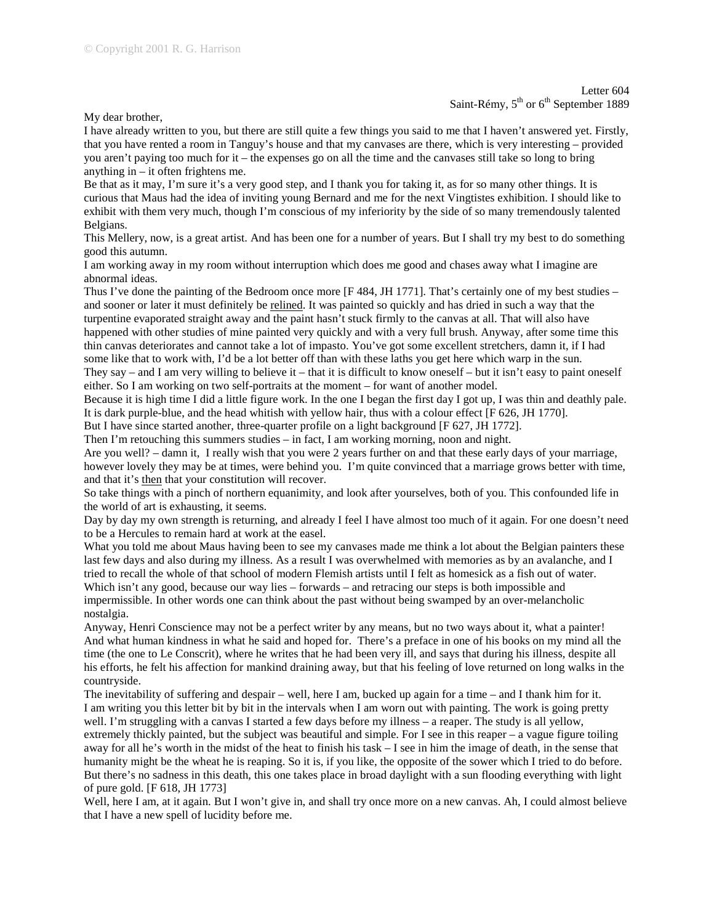## Letter 604 Saint-Rémy,  $5<sup>th</sup>$  or  $6<sup>th</sup>$  September 1889

My dear brother,

I have already written to you, but there are still quite a few things you said to me that I haven't answered yet. Firstly, that you have rented a room in Tanguy's house and that my canvases are there, which is very interesting – provided you aren't paying too much for it – the expenses go on all the time and the canvases still take so long to bring anything in – it often frightens me.

Be that as it may, I'm sure it's a very good step, and I thank you for taking it, as for so many other things. It is curious that Maus had the idea of inviting young Bernard and me for the next Vingtistes exhibition. I should like to exhibit with them very much, though I'm conscious of my inferiority by the side of so many tremendously talented Belgians.

This Mellery, now, is a great artist. And has been one for a number of years. But I shall try my best to do something good this autumn.

I am working away in my room without interruption which does me good and chases away what I imagine are abnormal ideas.

Thus I've done the painting of the Bedroom once more [F 484, JH 1771]. That's certainly one of my best studies – and sooner or later it must definitely be relined. It was painted so quickly and has dried in such a way that the turpentine evaporated straight away and the paint hasn't stuck firmly to the canvas at all. That will also have happened with other studies of mine painted very quickly and with a very full brush. Anyway, after some time this thin canvas deteriorates and cannot take a lot of impasto. You've got some excellent stretchers, damn it, if I had some like that to work with, I'd be a lot better off than with these laths you get here which warp in the sun. They say – and I am very willing to believe it – that it is difficult to know oneself – but it isn't easy to paint oneself either. So I am working on two self-portraits at the moment – for want of another model.

Because it is high time I did a little figure work. In the one I began the first day I got up, I was thin and deathly pale. It is dark purple-blue, and the head whitish with yellow hair, thus with a colour effect [F 626, JH 1770].

But I have since started another, three-quarter profile on a light background [F 627, JH 1772].

Then I'm retouching this summers studies – in fact, I am working morning, noon and night. Are you well? – damn it, I really wish that you were 2 years further on and that these early days of your marriage, however lovely they may be at times, were behind you. I'm quite convinced that a marriage grows better with time, and that it's then that your constitution will recover.

So take things with a pinch of northern equanimity, and look after yourselves, both of you. This confounded life in the world of art is exhausting, it seems.

Day by day my own strength is returning, and already I feel I have almost too much of it again. For one doesn't need to be a Hercules to remain hard at work at the easel.

What you told me about Maus having been to see my canvases made me think a lot about the Belgian painters these last few days and also during my illness. As a result I was overwhelmed with memories as by an avalanche, and I tried to recall the whole of that school of modern Flemish artists until I felt as homesick as a fish out of water. Which isn't any good, because our way lies – forwards – and retracing our steps is both impossible and impermissible. In other words one can think about the past without being swamped by an over-melancholic nostalgia.

Anyway, Henri Conscience may not be a perfect writer by any means, but no two ways about it, what a painter! And what human kindness in what he said and hoped for. There's a preface in one of his books on my mind all the time (the one to Le Conscrit), where he writes that he had been very ill, and says that during his illness, despite all his efforts, he felt his affection for mankind draining away, but that his feeling of love returned on long walks in the countryside.

The inevitability of suffering and despair – well, here I am, bucked up again for a time – and I thank him for it. I am writing you this letter bit by bit in the intervals when I am worn out with painting. The work is going pretty well. I'm struggling with a canvas I started a few days before my illness – a reaper. The study is all yellow,

extremely thickly painted, but the subject was beautiful and simple. For I see in this reaper – a vague figure toiling away for all he's worth in the midst of the heat to finish his task – I see in him the image of death, in the sense that humanity might be the wheat he is reaping. So it is, if you like, the opposite of the sower which I tried to do before. But there's no sadness in this death, this one takes place in broad daylight with a sun flooding everything with light of pure gold. [F 618, JH 1773]

Well, here I am, at it again. But I won't give in, and shall try once more on a new canvas. Ah, I could almost believe that I have a new spell of lucidity before me.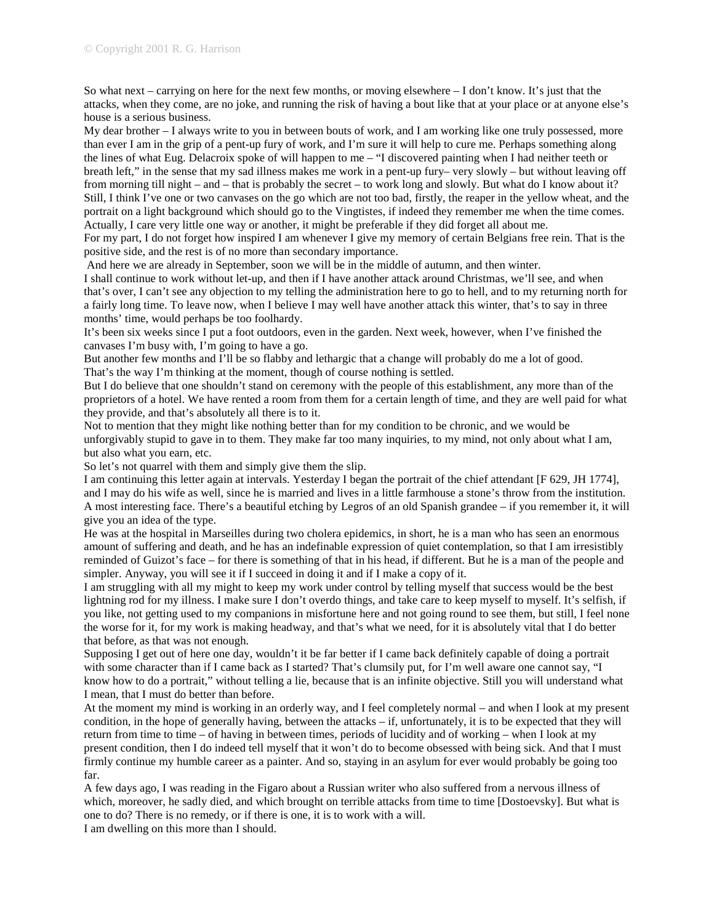So what next – carrying on here for the next few months, or moving elsewhere – I don't know. It's just that the attacks, when they come, are no joke, and running the risk of having a bout like that at your place or at anyone else's house is a serious business.

My dear brother – I always write to you in between bouts of work, and I am working like one truly possessed, more than ever I am in the grip of a pent-up fury of work, and I'm sure it will help to cure me. Perhaps something along the lines of what Eug. Delacroix spoke of will happen to me – "I discovered painting when I had neither teeth or breath left," in the sense that my sad illness makes me work in a pent-up fury– very slowly – but without leaving off from morning till night – and – that is probably the secret – to work long and slowly. But what do I know about it? Still, I think I've one or two canvases on the go which are not too bad, firstly, the reaper in the yellow wheat, and the portrait on a light background which should go to the Vingtistes, if indeed they remember me when the time comes. Actually, I care very little one way or another, it might be preferable if they did forget all about me.

For my part, I do not forget how inspired I am whenever I give my memory of certain Belgians free rein. That is the positive side, and the rest is of no more than secondary importance.

And here we are already in September, soon we will be in the middle of autumn, and then winter.

I shall continue to work without let-up, and then if I have another attack around Christmas, we'll see, and when that's over, I can't see any objection to my telling the administration here to go to hell, and to my returning north for a fairly long time. To leave now, when I believe I may well have another attack this winter, that's to say in three months' time, would perhaps be too foolhardy.

It's been six weeks since I put a foot outdoors, even in the garden. Next week, however, when I've finished the canvases I'm busy with, I'm going to have a go.

But another few months and I'll be so flabby and lethargic that a change will probably do me a lot of good. That's the way I'm thinking at the moment, though of course nothing is settled.

But I do believe that one shouldn't stand on ceremony with the people of this establishment, any more than of the proprietors of a hotel. We have rented a room from them for a certain length of time, and they are well paid for what they provide, and that's absolutely all there is to it.

Not to mention that they might like nothing better than for my condition to be chronic, and we would be unforgivably stupid to gave in to them. They make far too many inquiries, to my mind, not only about what I am, but also what you earn, etc.

So let's not quarrel with them and simply give them the slip.

I am continuing this letter again at intervals. Yesterday I began the portrait of the chief attendant [F 629, JH 1774], and I may do his wife as well, since he is married and lives in a little farmhouse a stone's throw from the institution. A most interesting face. There's a beautiful etching by Legros of an old Spanish grandee – if you remember it, it will give you an idea of the type.

He was at the hospital in Marseilles during two cholera epidemics, in short, he is a man who has seen an enormous amount of suffering and death, and he has an indefinable expression of quiet contemplation, so that I am irresistibly reminded of Guizot's face – for there is something of that in his head, if different. But he is a man of the people and simpler. Anyway, you will see it if I succeed in doing it and if I make a copy of it.

I am struggling with all my might to keep my work under control by telling myself that success would be the best lightning rod for my illness. I make sure I don't overdo things, and take care to keep myself to myself. It's selfish, if you like, not getting used to my companions in misfortune here and not going round to see them, but still, I feel none the worse for it, for my work is making headway, and that's what we need, for it is absolutely vital that I do better that before, as that was not enough.

Supposing I get out of here one day, wouldn't it be far better if I came back definitely capable of doing a portrait with some character than if I came back as I started? That's clumsily put, for I'm well aware one cannot say, "I know how to do a portrait," without telling a lie, because that is an infinite objective. Still you will understand what I mean, that I must do better than before.

At the moment my mind is working in an orderly way, and I feel completely normal – and when I look at my present condition, in the hope of generally having, between the attacks – if, unfortunately, it is to be expected that they will return from time to time – of having in between times, periods of lucidity and of working – when I look at my present condition, then I do indeed tell myself that it won't do to become obsessed with being sick. And that I must firmly continue my humble career as a painter. And so, staying in an asylum for ever would probably be going too far.

A few days ago, I was reading in the Figaro about a Russian writer who also suffered from a nervous illness of which, moreover, he sadly died, and which brought on terrible attacks from time to time [Dostoevsky]. But what is one to do? There is no remedy, or if there is one, it is to work with a will.

I am dwelling on this more than I should.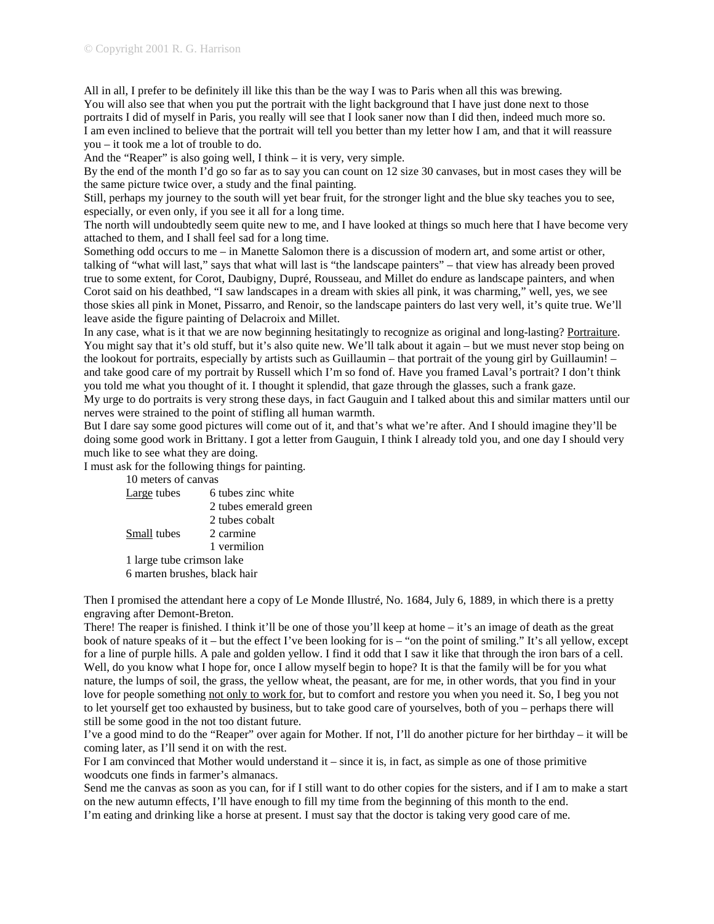All in all, I prefer to be definitely ill like this than be the way I was to Paris when all this was brewing. You will also see that when you put the portrait with the light background that I have just done next to those portraits I did of myself in Paris, you really will see that I look saner now than I did then, indeed much more so. I am even inclined to believe that the portrait will tell you better than my letter how I am, and that it will reassure you – it took me a lot of trouble to do.

And the "Reaper" is also going well, I think – it is very, very simple.

By the end of the month I'd go so far as to say you can count on 12 size 30 canvases, but in most cases they will be the same picture twice over, a study and the final painting.

Still, perhaps my journey to the south will yet bear fruit, for the stronger light and the blue sky teaches you to see, especially, or even only, if you see it all for a long time.

The north will undoubtedly seem quite new to me, and I have looked at things so much here that I have become very attached to them, and I shall feel sad for a long time.

Something odd occurs to me – in Manette Salomon there is a discussion of modern art, and some artist or other, talking of "what will last," says that what will last is "the landscape painters" – that view has already been proved true to some extent, for Corot, Daubigny, Dupré, Rousseau, and Millet do endure as landscape painters, and when Corot said on his deathbed, "I saw landscapes in a dream with skies all pink, it was charming," well, yes, we see those skies all pink in Monet, Pissarro, and Renoir, so the landscape painters do last very well, it's quite true. We'll leave aside the figure painting of Delacroix and Millet.

In any case, what is it that we are now beginning hesitatingly to recognize as original and long-lasting? Portraiture. You might say that it's old stuff, but it's also quite new. We'll talk about it again – but we must never stop being on the lookout for portraits, especially by artists such as Guillaumin – that portrait of the young girl by Guillaumin! – and take good care of my portrait by Russell which I'm so fond of. Have you framed Laval's portrait? I don't think you told me what you thought of it. I thought it splendid, that gaze through the glasses, such a frank gaze.

My urge to do portraits is very strong these days, in fact Gauguin and I talked about this and similar matters until our nerves were strained to the point of stifling all human warmth.

But I dare say some good pictures will come out of it, and that's what we're after. And I should imagine they'll be doing some good work in Brittany. I got a letter from Gauguin, I think I already told you, and one day I should very much like to see what they are doing.

I must ask for the following things for painting.

| Large tubes                  | 6 tubes zinc white    |
|------------------------------|-----------------------|
|                              | 2 tubes emerald green |
|                              | 2 tubes cobalt        |
| Small tubes                  | 2 carmine             |
|                              | 1 vermilion           |
| 1 large tube crimson lake    |                       |
| 6 marten brushes, black hair |                       |

Then I promised the attendant here a copy of Le Monde Illustré, No. 1684, July 6, 1889, in which there is a pretty engraving after Demont-Breton.

There! The reaper is finished. I think it'll be one of those you'll keep at home – it's an image of death as the great book of nature speaks of it – but the effect I've been looking for is – "on the point of smiling." It's all yellow, except for a line of purple hills. A pale and golden yellow. I find it odd that I saw it like that through the iron bars of a cell. Well, do you know what I hope for, once I allow myself begin to hope? It is that the family will be for you what nature, the lumps of soil, the grass, the yellow wheat, the peasant, are for me, in other words, that you find in your love for people something not only to work for, but to comfort and restore you when you need it. So, I beg you not to let yourself get too exhausted by business, but to take good care of yourselves, both of you – perhaps there will still be some good in the not too distant future.

I've a good mind to do the "Reaper" over again for Mother. If not, I'll do another picture for her birthday – it will be coming later, as I'll send it on with the rest.

For I am convinced that Mother would understand it – since it is, in fact, as simple as one of those primitive woodcuts one finds in farmer's almanacs.

Send me the canvas as soon as you can, for if I still want to do other copies for the sisters, and if I am to make a start on the new autumn effects, I'll have enough to fill my time from the beginning of this month to the end.

I'm eating and drinking like a horse at present. I must say that the doctor is taking very good care of me.